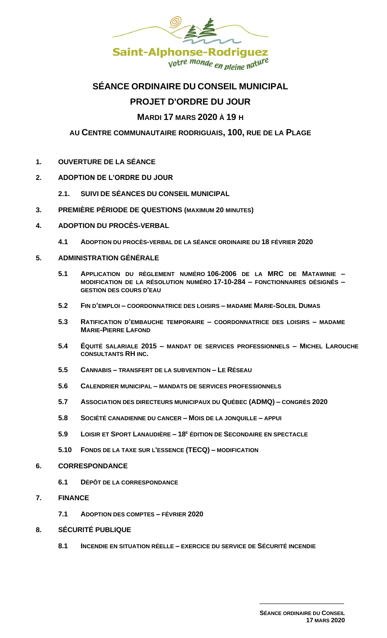

# **SÉANCE ORDINAIRE DU CONSEIL MUNICIPAL**

# **PROJET D'ORDRE DU JOUR**

# **MARDI 17 MARS 2020 À 19 H**

## **AU CENTRE COMMUNAUTAIRE RODRIGUAIS, 100, RUE DE LA PLAGE**

- **1. OUVERTURE DE LA SÉANCE**
- **2. ADOPTION DE L'ORDRE DU JOUR** 
	- **2.1. SUIVI DE SÉANCES DU CONSEIL MUNICIPAL**
- **3. PREMIÈRE PÉRIODE DE QUESTIONS (MAXIMUM 20 MINUTES)**
- **4. ADOPTION DU PROCÈS-VERBAL** 
	- **4.1 ADOPTION DU PROCÈS-VERBAL DE LA SÉANCE ORDINAIRE DU 18 FÉVRIER 2020**
- **5. ADMINISTRATION GÉNÉRALE**
	- **5.1 APPLICATION DU RÈGLEMENT NUMÉRO 106-2006 DE LA MRC DE MATAWINIE – MODIFICATION DE LA RÉSOLUTION NUMÉRO 17-10-284 – FONCTIONNAIRES DÉSIGNÉS – GESTION DES COURS D'EAU**
	- **5.2 FIN D'EMPLOI – COORDONNATRICE DES LOISIRS – MADAME MARIE-SOLEIL DUMAS**
	- **5.3 RATIFICATION D'EMBAUCHE TEMPORAIRE – COORDONNATRICE DES LOISIRS – MADAME MARIE-PIERRE LAFOND**
	- **5.4 ÉQUITÉ SALARIALE 2015 – MANDAT DE SERVICES PROFESSIONNELS – MICHEL LAROUCHE CONSULTANTS RH INC.**
	- **5.5 CANNABIS – TRANSFERT DE LA SUBVENTION – LE RÉSEAU**
	- **5.6 CALENDRIER MUNICIPAL – MANDATS DE SERVICES PROFESSIONNELS**
	- **5.7 ASSOCIATION DES DIRECTEURS MUNICIPAUX DU QUÉBEC (ADMQ) – CONGRÈS 2020**
	- **5.8 SOCIÉTÉ CANADIENNE DU CANCER – MOIS DE LA JONQUILLE – APPUI**
	- **5.9 LOISIR ET SPORT LANAUDIÈRE – 18 <sup>E</sup> ÉDITION DE SECONDAIRE EN SPECTACLE**
	- **5.10 FONDS DE LA TAXE SUR L'ESSENCE (TECQ) – MODIFICATION**
- **6. CORRESPONDANCE**
	- **6.1 D[ÉPÔT DE LA CORRESPONDANCE](file:///G:/PIÈCES%20JOINTES%20-%20hyperliens/CORRESPONDANCE%202012.xls)**
- **7. FINANCE** 
	- **7.1 ADOPTION DES COMPTES – FÉVRIER 2020**
- **8. SÉCURITÉ PUBLIQUE**
	- **8.1 INCENDIE EN SITUATION RÉELLE – EXERCICE DU SERVICE DE SÉCURITÉ INCENDIE**